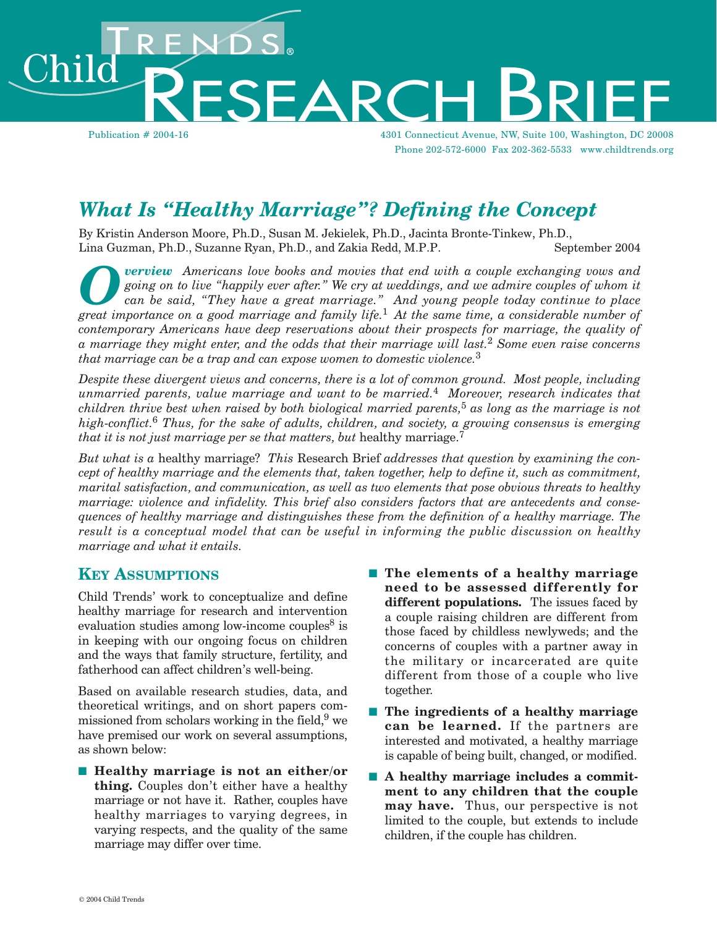Publication # 2004-16 4301 Connecticut Avenue, NW, Suite 100, Washington, DC 20008 Phone 202-572-6000 Fax 202-362-5533 www.childtrends.org

# *What Is "Healthy Marriage"? Defining the Concept*

By Kristin Anderson Moore, Ph.D., Susan M. Jekielek, Ph.D., Jacinta Bronte-Tinkew, Ph.D., Lina Guzman, Ph.D., Suzanne Ryan, Ph.D., and Zakia Redd, M.P.P. September 2004

*verview* Americans love books and movies that end with a couple exchanging vows and *going on to live "happily ever after." We cry at weddings, and we admire couples of whom it can be said, "They have a great marriage." And young people today continue to place great importance on a good marriage and family life.*1 *At the same time, a considerable number of contemporary Americans have deep reservations about their prospects for marriage, the quality of a marriage they might enter, and the odds that their marriage will last.*2 *Some even raise concerns that marriage can be a trap and can expose women to domestic violence.*<sup>3</sup>

*Despite these divergent views and concerns, there is a lot of common ground. Most people, including unmarried parents, value marriage and want to be married.*4 *Moreover, research indicates that children thrive best when raised by both biological married parents,*5 *as long as the marriage is not high-conflict.*6 *Thus, for the sake of adults, children, and society, a growing consensus is emerging that it is not just marriage per se that matters, but healthy marriage.*<sup>7</sup>

*But what is a* healthy marriage? *This* Research Brief *addresses that question by examining the concept of healthy marriage and the elements that, taken together, help to define it, such as commitment, marital satisfaction, and communication, as well as two elements that pose obvious threats to healthy marriage: violence and infidelity. This brief also considers factors that are antecedents and consequences of healthy marriage and distinguishes these from the definition of a healthy marriage. The result is a conceptual model that can be useful in informing the public discussion on healthy marriage and what it entails.* 

#### **KEY ASSUMPTIONS**

ıik

Child Trends' work to conceptualize and define healthy marriage for research and intervention evaluation studies among low-income couples $8$  is in keeping with our ongoing focus on children and the ways that family structure, fertility, and fatherhood can affect children's well-being.

Based on available research studies, data, and theoretical writings, and on short papers commissioned from scholars working in the field,  $9$  we have premised our work on several assumptions, as shown below:

- **Healthy marriage is not an either/or thing.** Couples don't either have a healthy marriage or not have it. Rather, couples have healthy marriages to varying degrees, in varying respects, and the quality of the same marriage may differ over time.
- **The elements of a healthy marriage need to be assessed differently for different populations.** The issues faced by a couple raising children are different from those faced by childless newlyweds; and the concerns of couples with a partner away in the military or incarcerated are quite different from those of a couple who live together.
- **The ingredients of a healthy marriage can be learned.** If the partners are interested and motivated, a healthy marriage is capable of being built, changed, or modified.
- A healthy marriage includes a commit**ment to any children that the couple may have.** Thus, our perspective is not limited to the couple, but extends to include children, if the couple has children.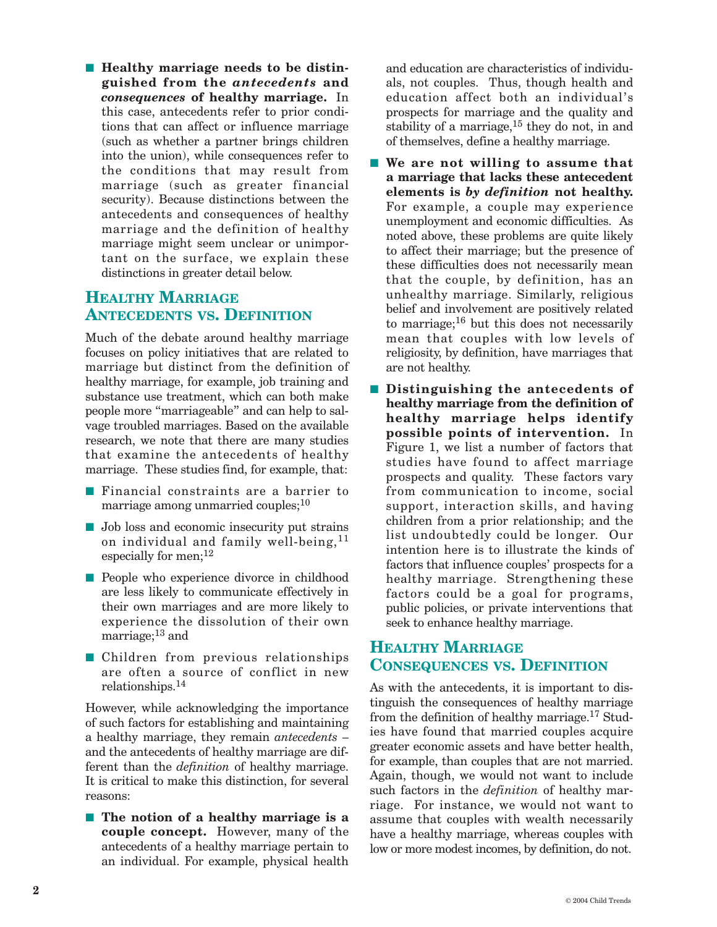■ Healthy marriage needs to be distin**guished from the** *antecedents* **and**  *consequences* **of healthy marriage.** In this case, antecedents refer to prior conditions that can affect or influence marriage (such as whether a partner brings children into the union), while consequences refer to the conditions that may result from marriage (such as greater financial security). Because distinctions between the antecedents and consequences of healthy marriage and the definition of healthy marriage might seem unclear or unimportant on the surface, we explain these distinctions in greater detail below.

### **HEALTHY MARRIAGE ANTECEDENTS VS. DEFINITION**

Much of the debate around healthy marriage focuses on policy initiatives that are related to marriage but distinct from the definition of healthy marriage, for example, job training and substance use treatment, which can both make people more "marriageable" and can help to salvage troubled marriages. Based on the available research, we note that there are many studies that examine the antecedents of healthy marriage. These studies find, for example, that:

- Financial constraints are a barrier to marriage among unmarried couples; $10$
- Job loss and economic insecurity put strains on individual and family well-being,  $11$ especially for men;<sup>12</sup>
- People who experience divorce in childhood are less likely to communicate effectively in their own marriages and are more likely to experience the dissolution of their own marriage; $^{13}$  and
- Children from previous relationships are often a source of conflict in new relationships.14

However, while acknowledging the importance of such factors for establishing and maintaining a healthy marriage, they remain *antecedents* – and the antecedents of healthy marriage are different than the *definition* of healthy marriage. It is critical to make this distinction, for several reasons:

■ **The notion of a healthy marriage is a couple concept.** However, many of the antecedents of a healthy marriage pertain to an individual. For example, physical health

and education are characteristics of individuals, not couples. Thus, though health and education affect both an individual's prospects for marriage and the quality and stability of a marriage,  $15$  they do not, in and of themselves, define a healthy marriage.

- We are not willing to assume that **a marriage that lacks these antecedent elements is** *by definition* **not healthy.**  For example, a couple may experience unemployment and economic difficulties. As noted above, these problems are quite likely to affect their marriage; but the presence of these difficulties does not necessarily mean that the couple, by definition, has an unhealthy marriage. Similarly, religious belief and involvement are positively related to marriage;<sup>16</sup> but this does not necessarily mean that couples with low levels of religiosity, by definition, have marriages that are not healthy.
- **Distinguishing the antecedents of healthy marriage from the definition of healthy marriage helps identify possible points of intervention.** In Figure 1, we list a number of factors that studies have found to affect marriage prospects and quality. These factors vary from communication to income, social support, interaction skills, and having children from a prior relationship; and the list undoubtedly could be longer. Our intention here is to illustrate the kinds of factors that influence couples' prospects for a healthy marriage. Strengthening these factors could be a goal for programs, public policies, or private interventions that seek to enhance healthy marriage.

## **HEALTHY MARRIAGE CONSEQUENCES VS. DEFINITION**

As with the antecedents, it is important to distinguish the consequences of healthy marriage from the definition of healthy marriage.17 Studies have found that married couples acquire greater economic assets and have better health, for example, than couples that are not married. Again, though, we would not want to include such factors in the *definition* of healthy marriage. For instance, we would not want to assume that couples with wealth necessarily have a healthy marriage, whereas couples with low or more modest incomes, by definition, do not.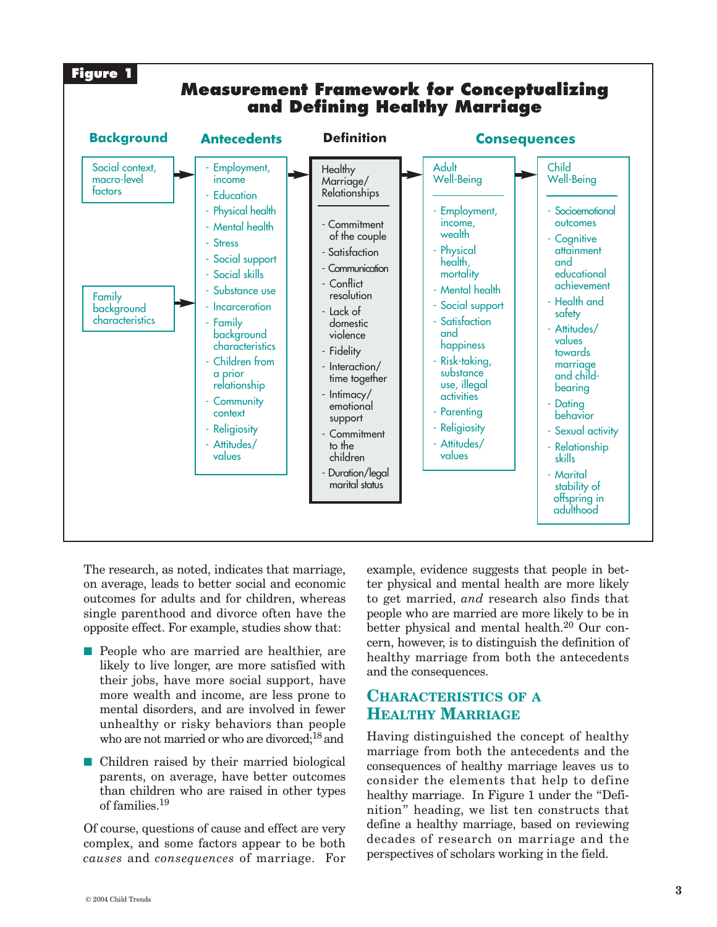

The research, as noted, indicates that marriage, on average, leads to better social and economic outcomes for adults and for children, whereas single parenthood and divorce often have the opposite effect. For example, studies show that:

- People who are married are healthier, are likely to live longer, are more satisfied with their jobs, have more social support, have more wealth and income, are less prone to mental disorders, and are involved in fewer unhealthy or risky behaviors than people who are not married or who are divorced;<sup>18</sup> and
- Children raised by their married biological parents, on average, have better outcomes than children who are raised in other types of families.19

Of course, questions of cause and effect are very complex, and some factors appear to be both *causes* and *consequences* of marriage. For

example, evidence suggests that people in better physical and mental health are more likely to get married, *and* research also finds that people who are married are more likely to be in better physical and mental health.<sup>20</sup> Our concern, however, is to distinguish the definition of healthy marriage from both the antecedents and the consequences.

#### **CHARACTERISTICS OF A HEALTHY MARRIAGE**

Having distinguished the concept of healthy marriage from both the antecedents and the consequences of healthy marriage leaves us to consider the elements that help to define healthy marriage. In Figure 1 under the "Definition" heading, we list ten constructs that define a healthy marriage, based on reviewing decades of research on marriage and the perspectives of scholars working in the field.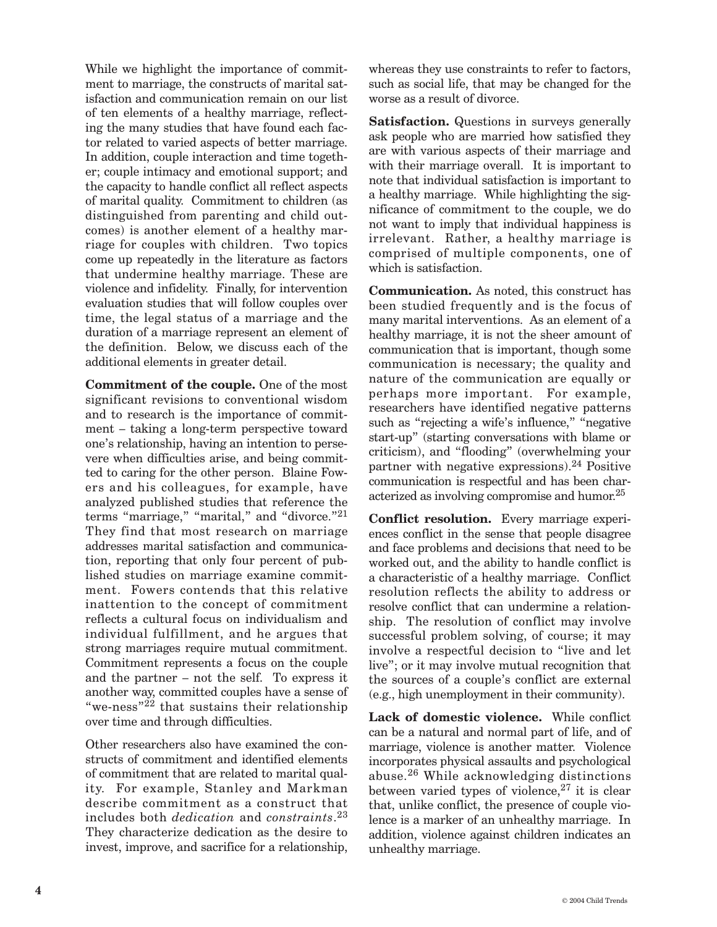While we highlight the importance of commitment to marriage, the constructs of marital satisfaction and communication remain on our list of ten elements of a healthy marriage, reflecting the many studies that have found each factor related to varied aspects of better marriage. In addition, couple interaction and time together; couple intimacy and emotional support; and the capacity to handle conflict all reflect aspects of marital quality. Commitment to children (as distinguished from parenting and child outcomes) is another element of a healthy marriage for couples with children. Two topics come up repeatedly in the literature as factors that undermine healthy marriage. These are violence and infidelity. Finally, for intervention evaluation studies that will follow couples over time, the legal status of a marriage and the duration of a marriage represent an element of the definition. Below, we discuss each of the additional elements in greater detail.

**Commitment of the couple.** One of the most significant revisions to conventional wisdom and to research is the importance of commitment – taking a long-term perspective toward one's relationship, having an intention to persevere when difficulties arise, and being committed to caring for the other person. Blaine Fowers and his colleagues, for example, have analyzed published studies that reference the terms "marriage," "marital," and "divorce."21 They find that most research on marriage addresses marital satisfaction and communication, reporting that only four percent of published studies on marriage examine commitment. Fowers contends that this relative inattention to the concept of commitment reflects a cultural focus on individualism and individual fulfillment, and he argues that strong marriages require mutual commitment. Commitment represents a focus on the couple and the partner – not the self. To express it another way, committed couples have a sense of "we-ness"22 that sustains their relationship over time and through difficulties.

Other researchers also have examined the constructs of commitment and identified elements of commitment that are related to marital quality. For example, Stanley and Markman describe commitment as a construct that <sup>23</sup> includes both *dedication* and *constraints*. They characterize dedication as the desire to invest, improve, and sacrifice for a relationship, whereas they use constraints to refer to factors, such as social life, that may be changed for the worse as a result of divorce.

**Satisfaction.** Questions in surveys generally ask people who are married how satisfied they are with various aspects of their marriage and with their marriage overall. It is important to note that individual satisfaction is important to a healthy marriage. While highlighting the significance of commitment to the couple, we do not want to imply that individual happiness is irrelevant. Rather, a healthy marriage is comprised of multiple components, one of which is satisfaction.

**Communication.** As noted, this construct has been studied frequently and is the focus of many marital interventions. As an element of a healthy marriage, it is not the sheer amount of communication that is important, though some communication is necessary; the quality and nature of the communication are equally or perhaps more important. For example, researchers have identified negative patterns such as "rejecting a wife's influence," "negative start-up" (starting conversations with blame or criticism), and "flooding" (overwhelming your partner with negative expressions).24 Positive communication is respectful and has been characterized as involving compromise and humor.25

**Conflict resolution.** Every marriage experiences conflict in the sense that people disagree and face problems and decisions that need to be worked out, and the ability to handle conflict is a characteristic of a healthy marriage. Conflict resolution reflects the ability to address or resolve conflict that can undermine a relationship. The resolution of conflict may involve successful problem solving, of course; it may involve a respectful decision to "live and let live"; or it may involve mutual recognition that the sources of a couple's conflict are external (e.g., high unemployment in their community).

**Lack of domestic violence.** While conflict can be a natural and normal part of life, and of marriage, violence is another matter. Violence incorporates physical assaults and psychological abuse.26 While acknowledging distinctions between varied types of violence, $27$  it is clear that, unlike conflict, the presence of couple violence is a marker of an unhealthy marriage. In addition, violence against children indicates an unhealthy marriage.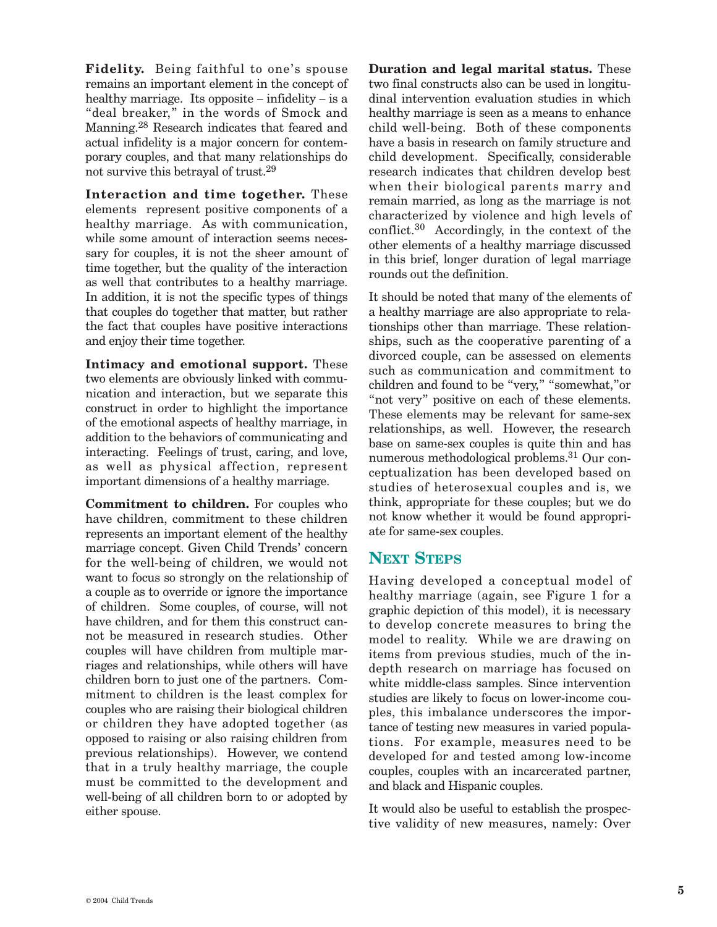**Fidelity.** Being faithful to one's spouse remains an important element in the concept of healthy marriage. Its opposite – infidelity – is a "deal breaker," in the words of Smock and Manning.28 Research indicates that feared and actual infidelity is a major concern for contemporary couples, and that many relationships do not survive this betrayal of trust.29

**Interaction and time together.** These elements represent positive components of a healthy marriage. As with communication, while some amount of interaction seems necessary for couples, it is not the sheer amount of time together, but the quality of the interaction as well that contributes to a healthy marriage. In addition, it is not the specific types of things that couples do together that matter, but rather the fact that couples have positive interactions and enjoy their time together.

**Intimacy and emotional support.** These two elements are obviously linked with communication and interaction, but we separate this construct in order to highlight the importance of the emotional aspects of healthy marriage, in addition to the behaviors of communicating and interacting. Feelings of trust, caring, and love, as well as physical affection, represent important dimensions of a healthy marriage.

**Commitment to children.** For couples who have children, commitment to these children represents an important element of the healthy marriage concept. Given Child Trends' concern for the well-being of children, we would not want to focus so strongly on the relationship of a couple as to override or ignore the importance of children. Some couples, of course, will not have children, and for them this construct cannot be measured in research studies. Other couples will have children from multiple marriages and relationships, while others will have children born to just one of the partners. Commitment to children is the least complex for couples who are raising their biological children or children they have adopted together (as opposed to raising or also raising children from previous relationships). However, we contend that in a truly healthy marriage, the couple must be committed to the development and well-being of all children born to or adopted by either spouse.

**Duration and legal marital status.** These two final constructs also can be used in longitudinal intervention evaluation studies in which healthy marriage is seen as a means to enhance child well-being. Both of these components have a basis in research on family structure and child development. Specifically, considerable research indicates that children develop best when their biological parents marry and remain married, as long as the marriage is not characterized by violence and high levels of conflict.30 Accordingly, in the context of the other elements of a healthy marriage discussed in this brief, longer duration of legal marriage rounds out the definition.

It should be noted that many of the elements of a healthy marriage are also appropriate to relationships other than marriage. These relationships, such as the cooperative parenting of a divorced couple, can be assessed on elements such as communication and commitment to children and found to be "very," "somewhat,"or "not very" positive on each of these elements. These elements may be relevant for same-sex relationships, as well. However, the research base on same-sex couples is quite thin and has numerous methodological problems.31 Our conceptualization has been developed based on studies of heterosexual couples and is, we think, appropriate for these couples; but we do not know whether it would be found appropriate for same-sex couples.

#### **NEXT STEPS**

Having developed a conceptual model of healthy marriage (again, see Figure 1 for a graphic depiction of this model), it is necessary to develop concrete measures to bring the model to reality. While we are drawing on items from previous studies, much of the indepth research on marriage has focused on white middle-class samples. Since intervention studies are likely to focus on lower-income couples, this imbalance underscores the importance of testing new measures in varied populations. For example, measures need to be developed for and tested among low-income couples, couples with an incarcerated partner, and black and Hispanic couples.

It would also be useful to establish the prospective validity of new measures, namely: Over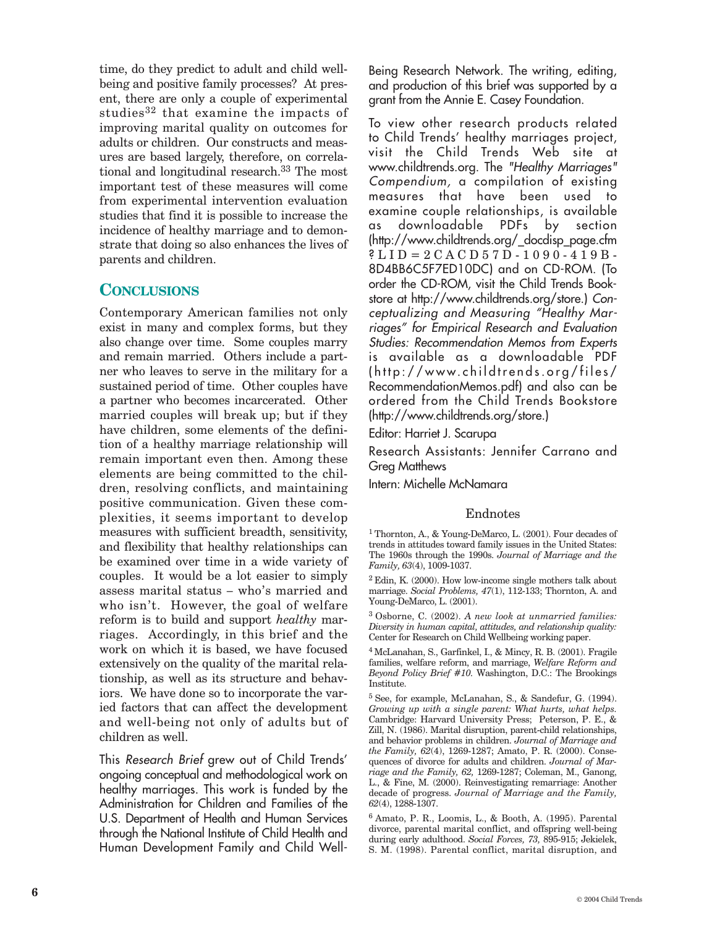time, do they predict to adult and child wellbeing and positive family processes? At present, there are only a couple of experimental studies $32$  that examine the impacts of improving marital quality on outcomes for adults or children. Our constructs and measures are based largely, therefore, on correlational and longitudinal research.<sup>33</sup> The most important test of these measures will come from experimental intervention evaluation studies that find it is possible to increase the incidence of healthy marriage and to demonstrate that doing so also enhances the lives of parents and children.

#### **CONCLUSIONS**

Contemporary American families not only exist in many and complex forms, but they also change over time. Some couples marry and remain married. Others include a partner who leaves to serve in the military for a sustained period of time. Other couples have a partner who becomes incarcerated. Other married couples will break up; but if they have children, some elements of the definition of a healthy marriage relationship will remain important even then. Among these elements are being committed to the children, resolving conflicts, and maintaining positive communication. Given these complexities, it seems important to develop measures with sufficient breadth, sensitivity, and flexibility that healthy relationships can be examined over time in a wide variety of couples. It would be a lot easier to simply assess marital status – who's married and who isn't. However, the goal of welfare reform is to build and support *healthy* marriages. Accordingly, in this brief and the work on which it is based, we have focused extensively on the quality of the marital relationship, as well as its structure and behaviors. We have done so to incorporate the varied factors that can affect the development and well-being not only of adults but of children as well.

This Research Brief grew out of Child Trends' ongoing conceptual and methodological work on healthy marriages. This work is funded by the Administration for Children and Families of the U.S. Department of Health and Human Services through the National Institute of Child Health and Human Development Family and Child WellBeing Research Network. The writing, editing, and production of this brief was supported by a grant from the Annie E. Casey Foundation.

To view other research products related to Child Trends' healthy marriages project, visit the Child Trends Web site at www.childtrends.org. The "Healthy Marriages" Compendium, a compilation of existing measures that have been used to examine couple relationships, is available as downloadable PDFs by section (http://www.childtrends.org/\_docdisp\_page.cfm ? LID = 2 CACD 5 7 D - 1 0 9 0 - 4 1 9 B -8D4BB6C5F7ED10DC) and on CD-ROM. (To order the CD-ROM, visit the Child Trends Bookstore at http://www.childtrends.org/store.) Conceptualizing and Measuring "Healthy Marriages" for Empirical Research and Evaluation Studies: Recommendation Memos from Experts is available as a downloadable PDF (http://www.childtrends.org/files/ RecommendationMemos.pdf) and also can be ordered from the Child Trends Bookstore (http://www.childtrends.org/store.)

Editor: Harriet J. Scarupa

Research Assistants: Jennifer Carrano and Greg Matthews

Intern: Michelle McNamara

#### Endnotes

1 Thornton, A., & Young-DeMarco, L. (2001). Four decades of trends in attitudes toward family issues in the United States: The 1960s through the 1990s. *Journal of Marriage and the Family, 63*(4), 1009-1037.

 $^2$  Edin, K. (2000). How low-income single mothers talk about marriage. *Social Problems, 47*(1), 112-133; Thornton, A. and Young-DeMarco, L. (2001).

3 Osborne, C. (2002). *A new look at unmarried families: Diversity in human capital, attitudes, and relationship quality:*  Center for Research on Child Wellbeing working paper.

4 McLanahan, S., Garfinkel, I., & Mincy, R. B. (2001). Fragile families, welfare reform, and marriage, *Welfare Reform and Beyond Policy Brief #10.* Washington, D.C.: The Brookings Institute.

5 See, for example, McLanahan, S., & Sandefur, G. (1994). *Growing up with a single parent: What hurts, what helps.*  Cambridge: Harvard University Press; Peterson, P. E., & Zill, N. (1986). Marital disruption, parent-child relationships, and behavior problems in children. *Journal of Marriage and the Family, 62*(4), 1269-1287; Amato, P. R. (2000). Consequences of divorce for adults and children. *Journal of Marriage and the Family, 62,* 1269-1287; Coleman, M., Ganong, L., & Fine, M. (2000). Reinvestigating remarriage: Another decade of progress. *Journal of Marriage and the Family, 62*(4), 1288-1307.

6 Amato, P. R., Loomis, L., & Booth, A. (1995). Parental divorce, parental marital conflict, and offspring well-being during early adulthood. *Social Forces, 73,* 895-915; Jekielek, S. M. (1998). Parental conflict, marital disruption, and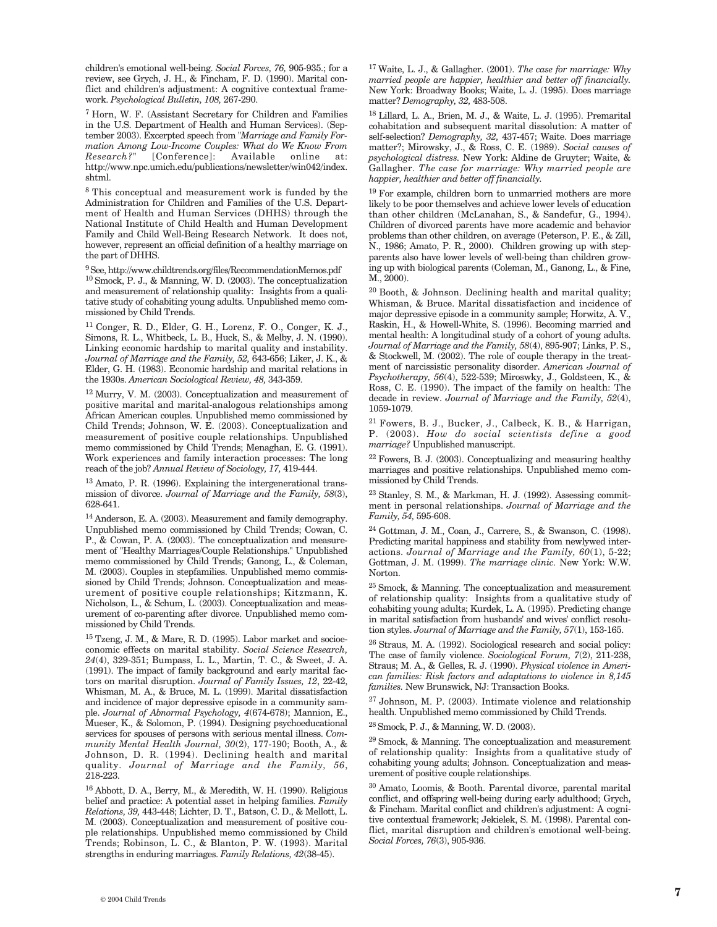children's emotional well-being. *Social Forces, 76,* 905-935.; for a review, see Grych, J. H., & Fincham, F. D. (1990). Marital conflict and children's adjustment: A cognitive contextual framework. *Psychological Bulletin, 108,* 267-290.

7 Horn, W. F. (Assistant Secretary for Children and Families in the U.S. Department of Health and Human Services). (September 2003). Excerpted speech from *"Marriage and Family Formation Among Low-Income Couples: What do We Know From Research?"* [Conference]: Available online at: http://www.npc.umich.edu/publications/newsletter/win042/index. shtml.

8 This conceptual and measurement work is funded by the Administration for Children and Families of the U.S. Department of Health and Human Services (DHHS) through the National Institute of Child Health and Human Development Family and Child Well-Being Research Network. It does not, however, represent an official definition of a healthy marriage on the part of DHHS.

 $^{9}$  See, http://www.childtrends.org/files/RecommendationMemos.pdf

10 Smock, P. J., & Manning, W. D. (2003). The conceptualization and measurement of relationship quality: Insights from a qualitative study of cohabiting young adults. Unpublished memo commissioned by Child Trends.

11 Conger, R. D., Elder, G. H., Lorenz, F. O., Conger, K. J., Simons, R. L., Whitbeck, L. B., Huck, S., & Melby, J. N. (1990). Linking economic hardship to marital quality and instability. *Journal of Marriage and the Family, 52,* 643-656; Liker, J. K., & Elder, G. H. (1983). Economic hardship and marital relations in the 1930s. *American Sociological Review, 48,* 343-359.

12 Murry, V. M. (2003). Conceptualization and measurement of positive marital and marital-analogous relationships among African American couples. Unpublished memo commissioned by Child Trends; Johnson, W. E. (2003). Conceptualization and measurement of positive couple relationships. Unpublished memo commissioned by Child Trends; Menaghan, E. G. (1991). Work experiences and family interaction processes: The long reach of the job? *Annual Review of Sociology, 17,* 419-444.

13 Amato, P. R. (1996). Explaining the intergenerational transmission of divorce. *Journal of Marriage and the Family, 58*(3), 628-641.

14 Anderson, E. A. (2003). Measurement and family demography. Unpublished memo commissioned by Child Trends; Cowan, C. P., & Cowan, P. A. (2003). The conceptualization and measurement of "Healthy Marriages/Couple Relationships." Unpublished memo commissioned by Child Trends; Ganong, L., & Coleman, M. (2003). Couples in stepfamilies. Unpublished memo commissioned by Child Trends; Johnson. Conceptualization and measurement of positive couple relationships; Kitzmann, K. Nicholson, L., & Schum, L. (2003). Conceptualization and measurement of co-parenting after divorce. Unpublished memo commissioned by Child Trends.

15 Tzeng, J. M., & Mare, R. D. (1995). Labor market and socioeconomic effects on marital stability. *Social Science Research, 24*(4), 329-351; Bumpass, L. L., Martin, T. C., & Sweet, J. A. (1991). The impact of family background and early marital factors on marital disruption. *Journal of Family Issues, 12*, 22-42, Whisman, M. A., & Bruce, M. L. (1999). Marital dissatisfaction and incidence of major depressive episode in a community sample. *Journal of Abnormal Psychology, 4*(674-678); Mannion, E., Mueser, K., & Solomon, P. (1994). Designing psychoeducational services for spouses of persons with serious mental illness. *Community Mental Health Journal, 30*(2), 177-190; Booth, A., & Johnson, D. R. (1994). Declining health and marital quality. *Journal of Marriage and the Family, 56*, 218-223.

16 Abbott, D. A., Berry, M., & Meredith, W. H. (1990). Religious belief and practice: A potential asset in helping families. *Family Relations, 39,* 443-448; Lichter, D. T., Batson, C. D., & Mellott, L. M. (2003). Conceptualization and measurement of positive couple relationships. Unpublished memo commissioned by Child Trends; Robinson, L. C., & Blanton, P. W. (1993). Marital strengths in enduring marriages. *Family Relations, 42*(38-45).

17 Waite, L. J., & Gallagher. (2001). *The case for marriage: Why married people are happier, healthier and better off financially.*  New York: Broadway Books; Waite, L. J. (1995). Does marriage matter? *Demography, 32,* 483-508.

18 Lillard, L. A., Brien, M. J., & Waite, L. J. (1995). Premarital cohabitation and subsequent marital dissolution: A matter of self-selection? *Demography, 32,* 437-457; Waite. Does marriage matter?; Mirowsky, J., & Ross, C. E. (1989). *Social causes of psychological distress.* New York: Aldine de Gruyter; Waite, & Gallagher. *The case for marriage: Why married people are happier, healthier and better off financially.* 

19 For example, children born to unmarried mothers are more likely to be poor themselves and achieve lower levels of education than other children (McLanahan, S., & Sandefur, G., 1994). Children of divorced parents have more academic and behavior problems than other children, on average (Peterson, P. E., & Zill, N., 1986; Amato, P. R., 2000). Children growing up with stepparents also have lower levels of well-being than children growing up with biological parents (Coleman, M., Ganong, L., & Fine, M., 2000).

20 Booth, & Johnson. Declining health and marital quality; Whisman, & Bruce. Marital dissatisfaction and incidence of major depressive episode in a community sample; Horwitz, A. V., Raskin, H., & Howell-White, S. (1996). Becoming married and mental health: A longitudinal study of a cohort of young adults. *Journal of Marriage and the Family, 58*(4), 895-907; Links, P. S., & Stockwell, M. (2002). The role of couple therapy in the treatment of narcissistic personality disorder. *American Journal of Psychotherapy, 56*(4), 522-539; Miroswky, J., Goldsteen, K., & Ross, C. E. (1990). The impact of the family on health: The decade in review. *Journal of Marriage and the Family, 52*(4), 1059-1079.

21 Fowers, B. J., Bucker, J., Calbeck, K. B., & Harrigan, P. (2003). *How do social scientists define a good marriage?* Unpublished manuscript.

22 Fowers, B. J. (2003). Conceptualizing and measuring healthy marriages and positive relationships. Unpublished memo commissioned by Child Trends.

23 Stanley, S. M., & Markman, H. J. (1992). Assessing commitment in personal relationships. *Journal of Marriage and the Family, 54,* 595-608.

24 Gottman, J. M., Coan, J., Carrere, S., & Swanson, C. (1998). Predicting marital happiness and stability from newlywed interactions. *Journal of Marriage and the Family, 60*(1), 5-22; Gottman, J. M. (1999). *The marriage clinic.* New York: W.W. Norton.

25 Smock, & Manning. The conceptualization and measurement of relationship quality: Insights from a qualitative study of cohabiting young adults; Kurdek, L. A. (1995). Predicting change in marital satisfaction from husbands' and wives' conflict resolution styles. *Journal of Marriage and the Family, 57*(1), 153-165.

26 Straus, M. A. (1992). Sociological research and social policy: The case of family violence. *Sociological Forum, 7*(2), 211-238, Straus; M. A., & Gelles, R. J. (1990). *Physical violence in American families: Risk factors and adaptations to violence in 8,145 families.* New Brunswick, NJ: Transaction Books.

27 Johnson, M. P. (2003). Intimate violence and relationship health. Unpublished memo commissioned by Child Trends.

28 Smock, P. J., & Manning, W. D. (2003).

29 Smock, & Manning. The conceptualization and measurement of relationship quality: Insights from a qualitative study of cohabiting young adults; Johnson. Conceptualization and measurement of positive couple relationships.

30 Amato, Loomis, & Booth. Parental divorce, parental marital conflict, and offspring well-being during early adulthood; Grych, & Fincham. Marital conflict and children's adjustment: A cognitive contextual framework; Jekielek, S. M. (1998). Parental conflict, marital disruption and children's emotional well-being. *Social Forces, 76*(3), 905-936.